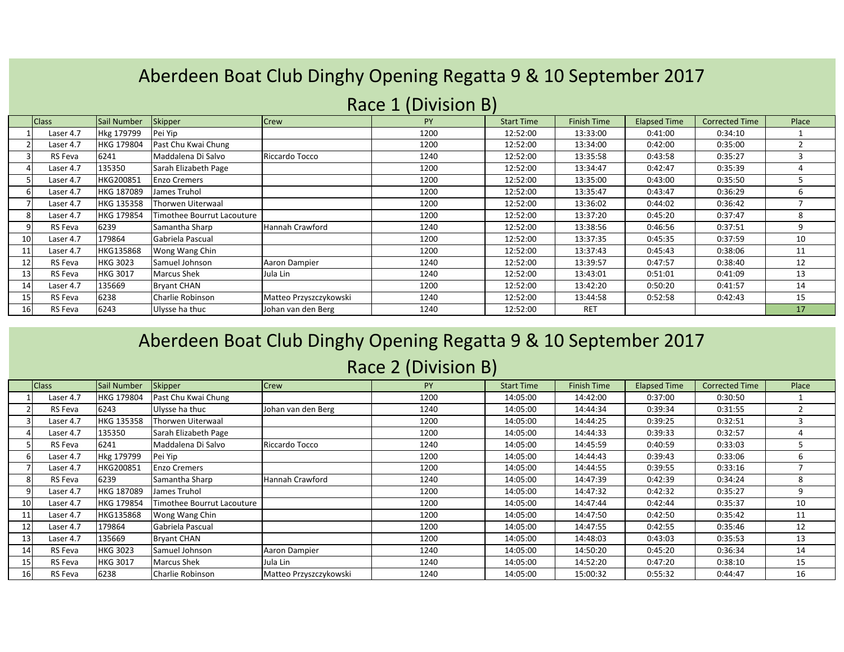## Aberdeen Boat Club Dinghy Opening Regatta 9 & 10 September 2017

|                 | $\frac{1}{2}$ |                   |                            |                        |      |                   |                    |                     |                       |       |
|-----------------|---------------|-------------------|----------------------------|------------------------|------|-------------------|--------------------|---------------------|-----------------------|-------|
|                 | <b>Class</b>  | Sail Number       | Skipper                    | Crew                   | PY   | <b>Start Time</b> | <b>Finish Time</b> | <b>Elapsed Time</b> | <b>Corrected Time</b> | Place |
|                 | Laser 4.7     | Hkg 179799        | Pei Yip                    |                        | 1200 | 12:52:00          | 13:33:00           | 0:41:00             | 0:34:10               |       |
|                 | Laser 4.7     | <b>HKG 179804</b> | Past Chu Kwai Chung        |                        | 1200 | 12:52:00          | 13:34:00           | 0:42:00             | 0:35:00               |       |
|                 | RS Feva       | 6241              | Maddalena Di Salvo         | Riccardo Tocco         | 1240 | 12:52:00          | 13:35:58           | 0:43:58             | 0:35:27               |       |
|                 | Laser 4.7     | 135350            | Sarah Elizabeth Page       |                        | 1200 | 12:52:00          | 13:34:47           | 0:42:47             | 0:35:39               |       |
|                 | Laser 4.7     | HKG200851         | <b>Enzo Cremers</b>        |                        | 1200 | 12:52:00          | 13:35:00           | 0:43:00             | 0:35:50               |       |
|                 | Laser 4.7     | HKG 187089        | James Truhol               |                        | 1200 | 12:52:00          | 13:35:47           | 0:43:47             | 0:36:29               | 6     |
|                 | Laser 4.7     | <b>HKG 135358</b> | Thorwen Uiterwaal          |                        | 1200 | 12:52:00          | 13:36:02           | 0:44:02             | 0:36:42               |       |
|                 | Laser 4.7     | <b>HKG 179854</b> | Timothee Bourrut Lacouture |                        | 1200 | 12:52:00          | 13:37:20           | 0:45:20             | 0:37:47               | 8     |
|                 | RS Feva       | 6239              | Samantha Sharp             | Hannah Crawford        | 1240 | 12:52:00          | 13:38:56           | 0:46:56             | 0:37:51               | 9     |
| 10              | Laser 4.7     | 179864            | Gabriela Pascual           |                        | 1200 | 12:52:00          | 13:37:35           | 0:45:35             | 0:37:59               | 10    |
| 11 <sub>1</sub> | Laser 4.7     | HKG135868         | Wong Wang Chin             |                        | 1200 | 12:52:00          | 13:37:43           | 0:45:43             | 0:38:06               | 11    |
| 12              | RS Feva       | <b>HKG 3023</b>   | Samuel Johnson             | Aaron Dampier          | 1240 | 12:52:00          | 13:39:57           | 0:47:57             | 0:38:40               | 12    |
| 13              | RS Feva       | <b>HKG 3017</b>   | <b>Marcus Shek</b>         | Jula Lin               | 1240 | 12:52:00          | 13:43:01           | 0:51:01             | 0:41:09               | 13    |
| 14              | Laser 4.7     | 135669            | <b>Bryant CHAN</b>         |                        | 1200 | 12:52:00          | 13:42:20           | 0:50:20             | 0:41:57               | 14    |
| 15 <sup>1</sup> | RS Feva       | 6238              | Charlie Robinson           | Matteo Przyszczykowski | 1240 | 12:52:00          | 13:44:58           | 0:52:58             | 0:42:43               | 15    |
| <b>16</b>       | RS Feva       | 6243              | Ulysse ha thuc             | Johan van den Berg     | 1240 | 12:52:00          | RET                |                     |                       | 17    |

### Race 1 (Division B)

### Aberdeen Boat Club Dinghy Opening Regatta 9 & 10 September 2017

#### Race 2 (Division B)

|                 | <b>Class</b> | Sail Number       | Skipper                     | Crew                   | <b>PY</b> | <b>Start Time</b> | <b>Finish Time</b> | <b>Elapsed Time</b> | <b>Corrected Time</b> | Place |
|-----------------|--------------|-------------------|-----------------------------|------------------------|-----------|-------------------|--------------------|---------------------|-----------------------|-------|
|                 | Laser 4.7    | <b>HKG 179804</b> | Past Chu Kwai Chung         |                        | 1200      | 14:05:00          | 14:42:00           | 0:37:00             | 0:30:50               |       |
|                 | RS Feva      | 6243              | Ulysse ha thuc              | Johan van den Berg     | 1240      | 14:05:00          | 14:44:34           | 0:39:34             | 0:31:55               |       |
|                 | Laser 4.7    | HKG 135358        | Thorwen Uiterwaal           |                        | 1200      | 14:05:00          | 14:44:25           | 0:39:25             | 0:32:51               |       |
|                 | Laser 4.7    | 135350            | Sarah Elizabeth Page        |                        | 1200      | 14:05:00          | 14:44:33           | 0:39:33             | 0:32:57               | 4     |
|                 | RS Feva      | 6241              | Maddalena Di Salvo          | Riccardo Tocco         | 1240      | 14:05:00          | 14:45:59           | 0:40:59             | 0:33:03               | 5     |
|                 | Laser 4.7    | Hkg 179799        | Pei Yip                     |                        | 1200      | 14:05:00          | 14:44:43           | 0:39:43             | 0:33:06               | 6     |
|                 | Laser 4.7    | HKG200851         | <b>Enzo Cremers</b>         |                        | 1200      | 14:05:00          | 14:44:55           | 0:39:55             | 0:33:16               | ⇁     |
|                 | RS Feva      | 6239              | Samantha Sharp              | Hannah Crawford        | 1240      | 14:05:00          | 14:47:39           | 0:42:39             | 0:34:24               | 8     |
|                 | Laser 4.7    | <b>HKG 187089</b> | James Truhol                |                        | 1200      | 14:05:00          | 14:47:32           | 0:42:32             | 0:35:27               | 9     |
| 10 <sub>1</sub> | Laser 4.7    | HKG 179854        | lTimothee Bourrut Lacouture |                        | 1200      | 14:05:00          | 14:47:44           | 0:42:44             | 0:35:37               | 10    |
| 11              | Laser 4.7    | HKG135868         | Wong Wang Chin              |                        | 1200      | 14:05:00          | 14:47:50           | 0:42:50             | 0:35:42               | 11    |
| 12              | Laser 4.7    | 179864            | Gabriela Pascual            |                        | 1200      | 14:05:00          | 14:47:55           | 0:42:55             | 0:35:46               | 12    |
| 13              | Laser 4.7    | 135669            | <b>Bryant CHAN</b>          |                        | 1200      | 14:05:00          | 14:48:03           | 0:43:03             | 0:35:53               | 13    |
| 14              | RS Feva      | <b>HKG 3023</b>   | Samuel Johnson              | Aaron Dampier          | 1240      | 14:05:00          | 14:50:20           | 0:45:20             | 0:36:34               | 14    |
| 15              | RS Feva      | <b>HKG 3017</b>   | <b>Marcus Shek</b>          | Jula Lin               | 1240      | 14:05:00          | 14:52:20           | 0:47:20             | 0:38:10               | 15    |
| 16              | RS Feva      | 6238              | Charlie Robinson            | Matteo Przyszczykowski | 1240      | 14:05:00          | 15:00:32           | 0:55:32             | 0:44:47               | 16    |